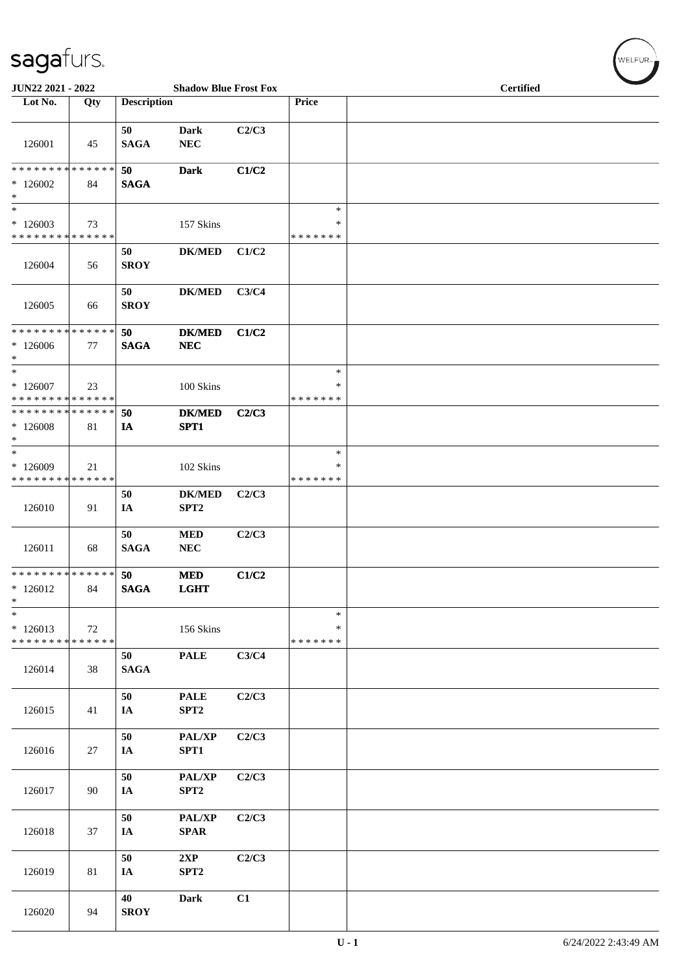| $\tilde{\phantom{a}}$<br>JUN22 2021 - 2022                           |     |                       | <b>Shadow Blue Frost Fox</b>      |       |                                   | <b>Certified</b> |
|----------------------------------------------------------------------|-----|-----------------------|-----------------------------------|-------|-----------------------------------|------------------|
| Lot No.                                                              | Qty | <b>Description</b>    |                                   |       | Price                             |                  |
| 126001                                                               | 45  | 50<br><b>SAGA</b>     | <b>Dark</b><br>${\bf NEC}$        | C2/C3 |                                   |                  |
| * * * * * * * * * * * * * *<br>$*126002$<br>$\ast$                   | 84  | 50<br><b>SAGA</b>     | <b>Dark</b>                       | C1/C2 |                                   |                  |
| $\overline{\phantom{1}}$<br>$*126003$<br>* * * * * * * * * * * * * * | 73  |                       | 157 Skins                         |       | $\ast$<br>$\ast$<br>* * * * * * * |                  |
| 126004                                                               | 56  | 50<br><b>SROY</b>     | <b>DK/MED</b>                     | C1/C2 |                                   |                  |
| 126005                                                               | 66  | 50<br><b>SROY</b>     | <b>DK/MED</b>                     | C3/C4 |                                   |                  |
| * * * * * * * * * * * * * *<br>$*126006$<br>$\ast$                   | 77  | 50<br><b>SAGA</b>     | <b>DK/MED</b><br>NEC              | C1/C2 |                                   |                  |
| $\ast$<br>$*126007$<br>* * * * * * * * * * * * * *                   | 23  |                       | 100 Skins                         |       | $\ast$<br>$\ast$<br>* * * * * * * |                  |
| * * * * * * * * * * * * * *<br>$*126008$<br>$\ast$                   | 81  | 50<br>IA              | <b>DK/MED</b><br>SPT1             | C2/C3 |                                   |                  |
| $\ast$<br>$*126009$<br>* * * * * * * * * * * * * *                   | 21  |                       | 102 Skins                         |       | $\ast$<br>∗<br>* * * * * * *      |                  |
| 126010                                                               | 91  | 50<br>IA              | <b>DK/MED</b><br>SPT <sub>2</sub> | C2/C3 |                                   |                  |
| 126011                                                               | 68  | 50<br><b>SAGA</b>     | $\bf MED$<br>${\bf NEC}$          | C2/C3 |                                   |                  |
| * * * * * * * * * * * * * *<br>$*126012$<br>$\ast$                   | 84  | 50<br>$\mathbf{SAGA}$ | <b>MED</b><br><b>LGHT</b>         | C1/C2 |                                   |                  |
| $\ast$<br>$*126013$<br>* * * * * * * * * * * * * *                   | 72  |                       | 156 Skins                         |       | $\ast$<br>$\ast$<br>* * * * * * * |                  |
| 126014                                                               | 38  | 50<br><b>SAGA</b>     | <b>PALE</b>                       | C3/C4 |                                   |                  |
| 126015                                                               | 41  | 50<br>IA              | <b>PALE</b><br>SPT2               | C2/C3 |                                   |                  |
| 126016                                                               | 27  | 50<br>IA              | PAL/XP<br>SPT1                    | C2/C3 |                                   |                  |
| 126017                                                               | 90  | $50\,$<br>IA          | PAL/XP<br>SPT <sub>2</sub>        | C2/C3 |                                   |                  |
| 126018                                                               | 37  | 50<br>IA              | PAL/XP<br>$\bf SPAR$              | C2/C3 |                                   |                  |
| 126019                                                               | 81  | 50<br>IA              | 2XP<br>SPT <sub>2</sub>           | C2/C3 |                                   |                  |
| 126020                                                               | 94  | 40<br><b>SROY</b>     | <b>Dark</b>                       | C1    |                                   |                  |

WELFUR<sub><sup>N</sup></sub>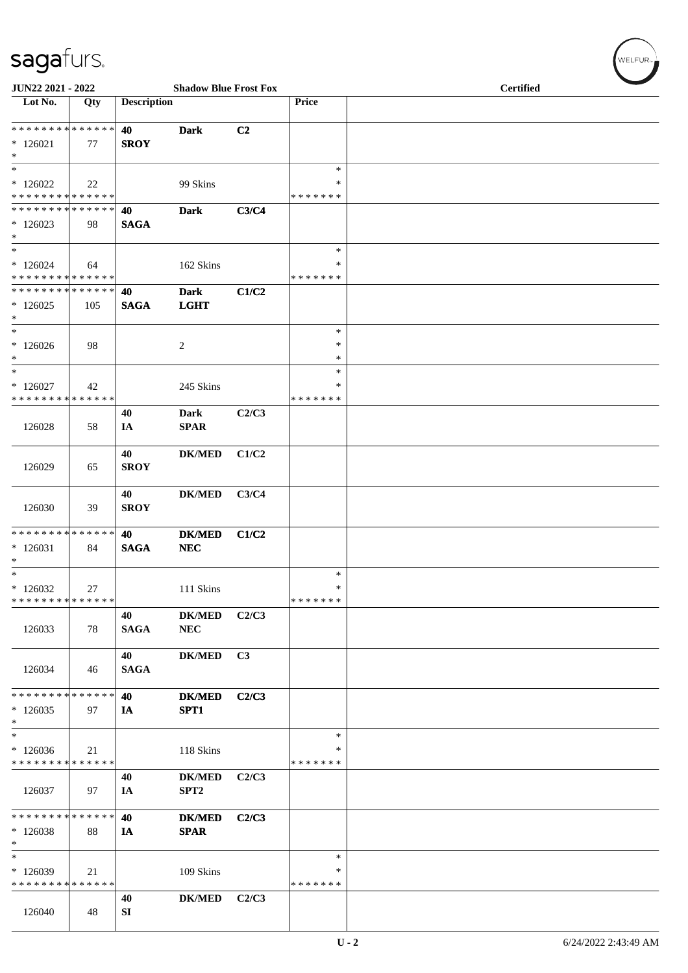| $\tilde{\phantom{a}}$                              |     |                    |                                         |       |                                   |                  |
|----------------------------------------------------|-----|--------------------|-----------------------------------------|-------|-----------------------------------|------------------|
| JUN22 2021 - 2022<br>Lot No.                       | Qty | <b>Description</b> | <b>Shadow Blue Frost Fox</b>            |       | Price                             | <b>Certified</b> |
| * * * * * * * * * * * * * *                        |     | 40                 | <b>Dark</b>                             | C2    |                                   |                  |
| $*126021$<br>$\ast$                                | 77  | <b>SROY</b>        |                                         |       |                                   |                  |
| $\ast$<br>$*126022$<br>* * * * * * * * * * * * * * | 22  |                    | 99 Skins                                |       | $\ast$<br>*<br>* * * * * * *      |                  |
| * * * * * * * * * * * * * *<br>$*126023$<br>$*$    | 98  | 40<br><b>SAGA</b>  | <b>Dark</b>                             | C3/C4 |                                   |                  |
| $\ast$<br>$*126024$<br>* * * * * * * * * * * * * * | 64  |                    | 162 Skins                               |       | $\ast$<br>∗<br>* * * * * * *      |                  |
| * * * * * * * * * * * * * *<br>$*126025$<br>$\ast$ | 105 | 40<br><b>SAGA</b>  | <b>Dark</b><br><b>LGHT</b>              | C1/C2 |                                   |                  |
| $\ast$<br>$*126026$<br>$\ast$                      | 98  |                    | 2                                       |       | $\ast$<br>$\ast$<br>$\ast$        |                  |
| $\ast$<br>$*126027$<br>* * * * * * * * * * * * * * | 42  |                    | 245 Skins                               |       | *<br>∗<br>* * * * * * *           |                  |
| 126028                                             | 58  | 40<br>IA           | Dark<br>$\pmb{\quad \text{SPAR} \quad}$ | C2/C3 |                                   |                  |
| 126029                                             | 65  | 40<br><b>SROY</b>  | <b>DK/MED</b>                           | C1/C2 |                                   |                  |
| 126030                                             | 39  | 40<br><b>SROY</b>  | <b>DK/MED</b>                           | C3/C4 |                                   |                  |
| * * * * * * * * * * * * * *<br>$*126031$<br>$*$    | 84  | 40<br><b>SAGA</b>  | <b>DK/MED</b><br>NEC                    | C1/C2 |                                   |                  |
| $\ast$<br>$*126032$<br>* * * * * * * * * * * * * * | 27  |                    | 111 Skins                               |       | $\ast$<br>$\ast$<br>* * * * * * * |                  |
| 126033                                             | 78  | 40<br><b>SAGA</b>  | ${\bf DK/MED}$<br>${\bf NEC}$           | C2/C3 |                                   |                  |
| 126034                                             | 46  | 40<br><b>SAGA</b>  | <b>DK/MED</b>                           | C3    |                                   |                  |
| * * * * * * * * * * * * * *<br>$*126035$<br>$*$    | 97  | 40<br>IA           | <b>DK/MED</b><br>SPT1                   | C2/C3 |                                   |                  |
| $\ast$<br>$*126036$<br>* * * * * * * * * * * * * * | 21  |                    | 118 Skins                               |       | $\ast$<br>∗<br>* * * * * * *      |                  |
| 126037                                             | 97  | 40<br>IA           | <b>DK/MED</b><br>SPT <sub>2</sub>       | C2/C3 |                                   |                  |
| * * * * * * * * * * * * * *<br>$*126038$<br>$\ast$ | 88  | 40<br>IA           | <b>DK/MED</b><br><b>SPAR</b>            | C2/C3 |                                   |                  |
| $\ast$<br>$*126039$<br>* * * * * * * * * * * * * * | 21  |                    | 109 Skins                               |       | $\ast$<br>∗<br>* * * * * * *      |                  |
| 126040                                             | 48  | 40<br>SI           | <b>DK/MED</b>                           | C2/C3 |                                   |                  |

 $(w$ ELFUR<sub><sup>n</sub></sub></sub></sup>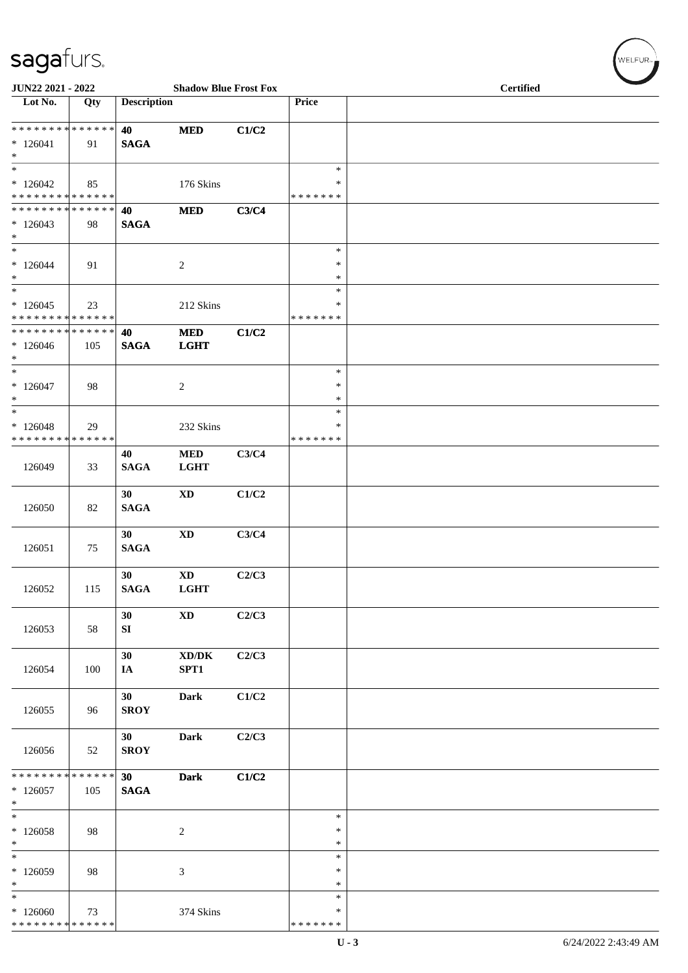| $\tilde{\phantom{a}}$<br>JUN22 2021 - 2022                           |     |                                | <b>Shadow Blue Frost Fox</b>                |       |                              | <b>Certified</b> |
|----------------------------------------------------------------------|-----|--------------------------------|---------------------------------------------|-------|------------------------------|------------------|
| Lot No.                                                              | Qty | <b>Description</b>             |                                             |       | Price                        |                  |
| * * * * * * * * * * * * * *<br>$*126041$<br>$\ast$                   | 91  | 40<br><b>SAGA</b>              | <b>MED</b>                                  | C1/C2 |                              |                  |
| $\overline{\ast}$<br>$*126042$<br>* * * * * * * * * * * * * *        | 85  |                                | 176 Skins                                   |       | $\ast$<br>*<br>* * * * * * * |                  |
| * * * * * * * * * * * * * *<br>$*126043$<br>$\ast$                   | 98  | 40<br><b>SAGA</b>              | <b>MED</b>                                  | C3/C4 |                              |                  |
| $\overline{\ast}$<br>$*126044$<br>$\ast$                             | 91  |                                | $\sqrt{2}$                                  |       | $\ast$<br>$\ast$<br>$\ast$   |                  |
| $\ast$<br>$*126045$<br>* * * * * * * * * * * * * *                   | 23  |                                | 212 Skins                                   |       | $\ast$<br>∗<br>* * * * * * * |                  |
| * * * * * * * * * * * * * *<br>$*126046$<br>$*$                      | 105 | 40<br><b>SAGA</b>              | <b>MED</b><br><b>LGHT</b>                   | C1/C2 |                              |                  |
| $\ast$<br>$*126047$<br>$\ast$                                        | 98  |                                | $\sqrt{2}$                                  |       | $\ast$<br>$\ast$<br>$\ast$   |                  |
| $\ast$<br>$*126048$<br>* * * * * * * * * * * * * *                   | 29  |                                | 232 Skins                                   |       | $\ast$<br>∗<br>* * * * * * * |                  |
| 126049                                                               | 33  | 40<br><b>SAGA</b>              | <b>MED</b><br><b>LGHT</b>                   | C3/C4 |                              |                  |
| 126050                                                               | 82  | 30<br><b>SAGA</b>              | <b>XD</b>                                   | C1/C2 |                              |                  |
| 126051                                                               | 75  | 30<br><b>SAGA</b>              | <b>XD</b>                                   | C3/C4 |                              |                  |
| 126052                                                               | 115 | 30<br><b>SAGA</b>              | <b>XD</b><br><b>LGHT</b>                    | C2/C3 |                              |                  |
| 126053                                                               | 58  | 30<br>SI                       | $\mathbf{X}\mathbf{D}$                      | C2/C3 |                              |                  |
| 126054                                                               | 100 | 30<br>IA                       | $\bold{X}\bold{D}/\bold{D}\bold{K}$<br>SPT1 | C2/C3 |                              |                  |
| 126055                                                               | 96  | 30<br><b>SROY</b>              | <b>Dark</b>                                 | C1/C2 |                              |                  |
| 126056                                                               | 52  | 30 <sup>1</sup><br><b>SROY</b> | <b>Dark</b>                                 | C2/C3 |                              |                  |
| * * * * * * * * * * * * * * *<br>$*126057$<br>$*$                    | 105 | 30 <sub>o</sub><br><b>SAGA</b> | <b>Dark</b>                                 | C1/C2 |                              |                  |
| $*$<br>$*126058$<br>$*$                                              | 98  |                                | $\overline{c}$                              |       | $\ast$<br>$\ast$<br>*        |                  |
| $\ast$<br>$*126059$<br>$\ast$                                        | 98  |                                | 3                                           |       | $\ast$<br>$\ast$<br>$\ast$   |                  |
| $\overline{\phantom{0}}$<br>$*126060$<br>* * * * * * * * * * * * * * | 73  |                                | 374 Skins                                   |       | $\ast$<br>*<br>* * * * * * * |                  |

 $(w$ elfur<sub>»</sub>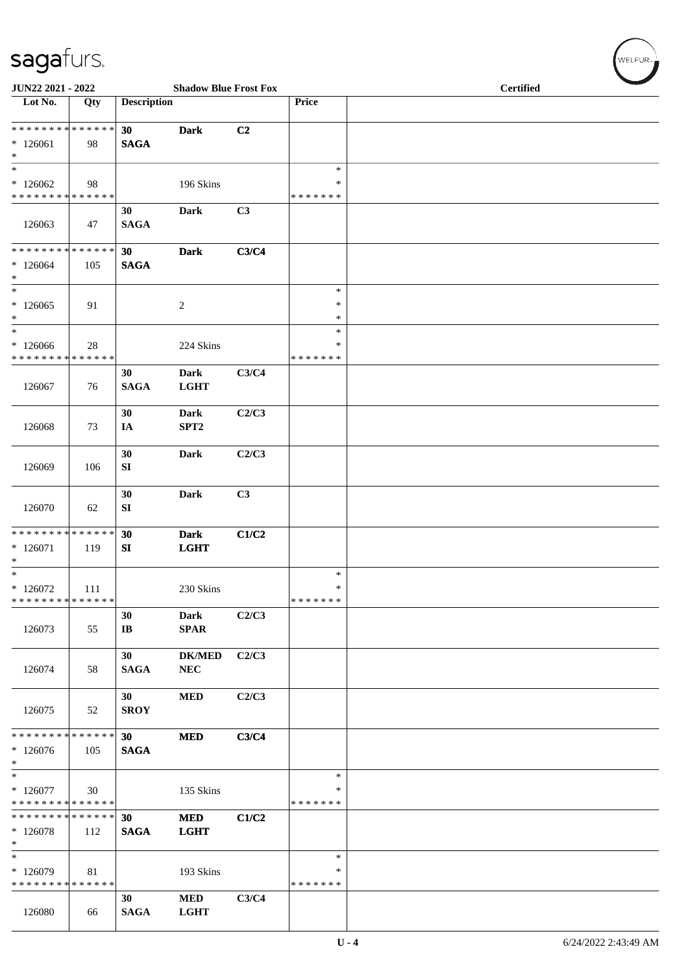| $\tilde{\phantom{a}}$<br>JUN22 2021 - 2022          |     |                              | <b>Shadow Blue Frost Fox</b>    |       |                                   | <b>Certified</b> |
|-----------------------------------------------------|-----|------------------------------|---------------------------------|-------|-----------------------------------|------------------|
| Lot No.                                             | Qty | <b>Description</b>           |                                 |       | Price                             |                  |
| ******** <mark>******</mark><br>$*126061$<br>$\ast$ | 98  | 30<br><b>SAGA</b>            | <b>Dark</b>                     | C2    |                                   |                  |
| $\ast$<br>$*126062$<br>* * * * * * * * * * * * * *  | 98  |                              | 196 Skins                       |       | $\ast$<br>∗<br>* * * * * * *      |                  |
| 126063                                              | 47  | 30<br><b>SAGA</b>            | <b>Dark</b>                     | C3    |                                   |                  |
| ******** <mark>******</mark><br>$*126064$<br>$\ast$ | 105 | 30<br><b>SAGA</b>            | <b>Dark</b>                     | C3/C4 |                                   |                  |
| $\ast$<br>$*126065$<br>$\ast$                       | 91  |                              | $\boldsymbol{2}$                |       | $\ast$<br>$\ast$<br>$\ast$        |                  |
| $\ast$<br>$*126066$<br>* * * * * * * * * * * * * *  | 28  |                              | 224 Skins                       |       | $\ast$<br>$\ast$<br>* * * * * * * |                  |
| 126067                                              | 76  | 30<br><b>SAGA</b>            | <b>Dark</b><br><b>LGHT</b>      | C3/C4 |                                   |                  |
| 126068                                              | 73  | 30<br>IA                     | <b>Dark</b><br>SPT <sub>2</sub> | C2/C3 |                                   |                  |
| 126069                                              | 106 | 30<br>SI                     | <b>Dark</b>                     | C2/C3 |                                   |                  |
| 126070                                              | 62  | 30<br>SI                     | <b>Dark</b>                     | C3    |                                   |                  |
| * * * * * * * * * * * * * *<br>$*126071$<br>$\ast$  | 119 | 30<br>SI                     | <b>Dark</b><br><b>LGHT</b>      | C1/C2 |                                   |                  |
| $\ast$<br>$*126072$<br>* * * * * * * * * * * * * *  | 111 |                              | 230 Skins                       |       | $\ast$<br>$\ast$<br>* * * * * * * |                  |
| 126073                                              | 55  | 30<br>$\mathbf{I}\mathbf{B}$ | Dark<br><b>SPAR</b>             | C2/C3 |                                   |                  |
| 126074                                              | 58  | 30<br><b>SAGA</b>            | <b>DK/MED</b><br>${\bf NEC}$    | C2/C3 |                                   |                  |
| 126075                                              | 52  | 30<br><b>SROY</b>            | $\bf MED$                       | C2/C3 |                                   |                  |
| * * * * * * * * * * * * * *<br>$*126076$<br>$*$     | 105 | 30<br><b>SAGA</b>            | <b>MED</b>                      | C3/C4 |                                   |                  |
| $*$<br>$*126077$<br>* * * * * * * * * * * * * *     | 30  |                              | 135 Skins                       |       | $\ast$<br>∗<br>* * * * * * *      |                  |
| * * * * * * * * * * * * * *<br>$*126078$<br>$*$     | 112 | 30<br><b>SAGA</b>            | <b>MED</b><br><b>LGHT</b>       | C1/C2 |                                   |                  |
| $\ast$<br>$*126079$<br>* * * * * * * * * * * * * *  | 81  |                              | 193 Skins                       |       | $\ast$<br>∗<br>* * * * * * *      |                  |
| 126080                                              | 66  | 30<br><b>SAGA</b>            | <b>MED</b><br><b>LGHT</b>       | C3/C4 |                                   |                  |

WELFUR<sub>"</sub>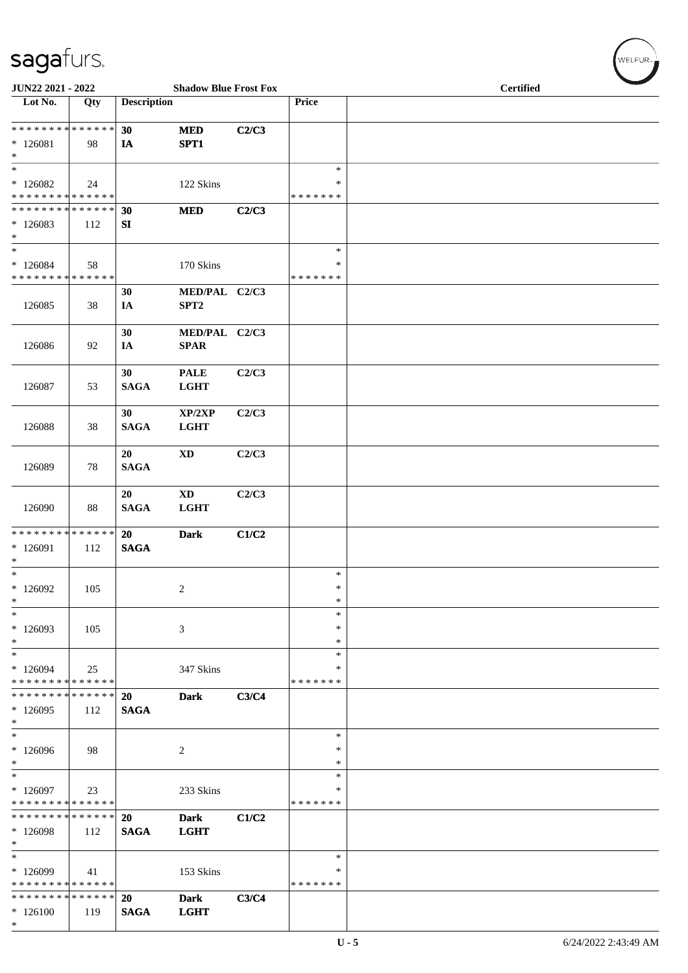| $\tilde{\phantom{a}}$<br>JUN22 2021 - 2022                                         |     |                          | <b>Shadow Blue Frost Fox</b>              |       |                              | <b>Certified</b> |
|------------------------------------------------------------------------------------|-----|--------------------------|-------------------------------------------|-------|------------------------------|------------------|
| Lot No.                                                                            | Qty | <b>Description</b>       |                                           |       | Price                        |                  |
| **************<br>$*126081$<br>$\ast$                                              | 98  | 30<br>$I\!\!A$           | <b>MED</b><br>SPT1                        | C2/C3 |                              |                  |
| $\ast$<br>$*126082$<br>* * * * * * * * * * * * * *                                 | 24  |                          | 122 Skins                                 |       | $\ast$<br>∗<br>* * * * * * * |                  |
| * * * * * * * * * * * * * * *<br>$*126083$<br>$\ast$<br>$\overline{\phantom{a}^*}$ | 112 | 30<br>SI                 | <b>MED</b>                                | C2/C3 |                              |                  |
| $*126084$<br>* * * * * * * * * * * * * *                                           | 58  |                          | 170 Skins                                 |       | $\ast$<br>∗<br>* * * * * * * |                  |
| 126085                                                                             | 38  | 30<br>IA                 | MED/PAL C2/C3<br>SPT <sub>2</sub>         |       |                              |                  |
| 126086                                                                             | 92  | 30<br>IA                 | MED/PAL C2/C3<br><b>SPAR</b>              |       |                              |                  |
| 126087                                                                             | 53  | 30<br><b>SAGA</b>        | <b>PALE</b><br><b>LGHT</b>                | C2/C3 |                              |                  |
| 126088                                                                             | 38  | 30<br><b>SAGA</b>        | XP/2XP<br><b>LGHT</b>                     | C2/C3 |                              |                  |
| 126089                                                                             | 78  | 20<br><b>SAGA</b>        | XD                                        | C2/C3 |                              |                  |
| 126090                                                                             | 88  | 20<br><b>SAGA</b>        | $\boldsymbol{\mathrm{XD}}$<br><b>LGHT</b> | C2/C3 |                              |                  |
| * * * * * * * * * * * * * * *<br>* 126091<br>$\ast$                                | 112 | 20<br><b>SAGA</b>        | <b>Dark</b>                               | C1/C2 |                              |                  |
| $\ast$<br>$*126092$<br>$\ast$                                                      | 105 |                          | $\overline{c}$                            |       | $\ast$<br>$\ast$<br>$\ast$   |                  |
| $\ast$<br>$*126093$<br>$\ast$                                                      | 105 |                          | 3                                         |       | *<br>∗<br>∗                  |                  |
| $\ast$<br>$*126094$<br>* * * * * * * * * * * * * *                                 | 25  |                          | 347 Skins                                 |       | $\ast$<br>∗<br>* * * * * * * |                  |
| * * * * * * * * * * * * * * *<br>$*126095$<br>$\ast$                               | 112 | <b>20</b><br><b>SAGA</b> | <b>Dark</b>                               | C3/C4 |                              |                  |
| $\ast$<br>$*126096$<br>$*$                                                         | 98  |                          | 2                                         |       | $\ast$<br>∗<br>∗             |                  |
| $\ast$<br>$*126097$<br>* * * * * * * * * * * * * *                                 | 23  |                          | 233 Skins                                 |       | $\ast$<br>∗<br>* * * * * * * |                  |
| * * * * * * * * * * * * * * *<br>$*126098$<br>$*$                                  | 112 | 20<br><b>SAGA</b>        | <b>Dark</b><br><b>LGHT</b>                | C1/C2 |                              |                  |
| $\ast$<br>$*126099$<br>* * * * * * * * * * * * * * *                               | 41  |                          | 153 Skins                                 |       | $\ast$<br>∗<br>* * * * * * * |                  |
| * * * * * * * * * * * * * * *<br>$*126100$<br>$*$                                  | 119 | 20<br><b>SAGA</b>        | <b>Dark</b><br><b>LGHT</b>                | C3/C4 |                              |                  |

WELFUR<sub>T</sub>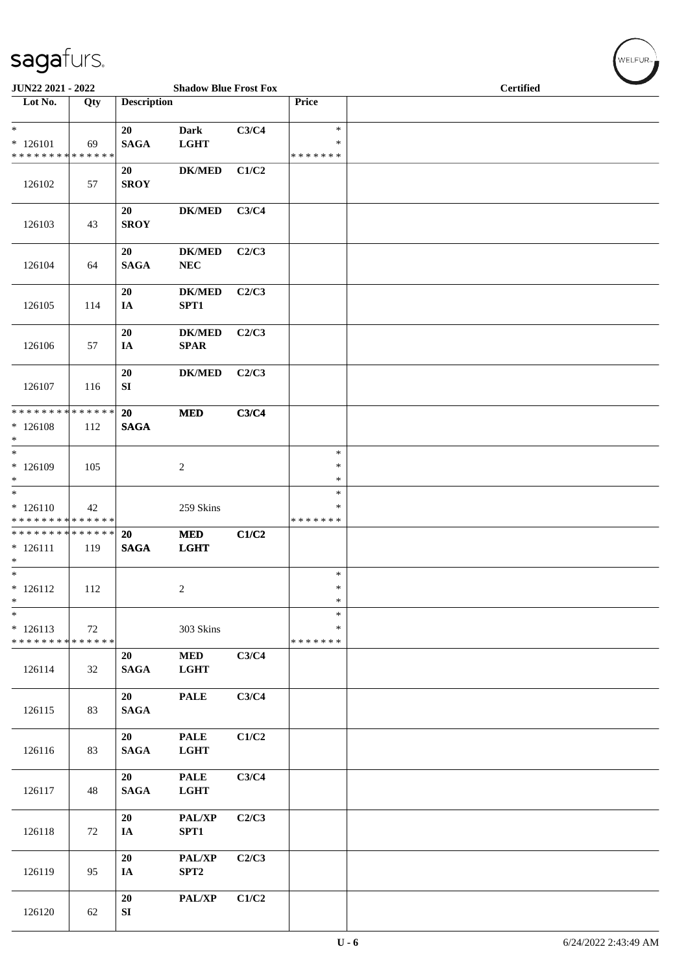| <b>JUN22 2021 - 2022</b>                                              |     |                        | <b>Shadow Blue Frost Fox</b> |       |                                   |  | <b>Certified</b> |  |
|-----------------------------------------------------------------------|-----|------------------------|------------------------------|-------|-----------------------------------|--|------------------|--|
| Lot No.                                                               | Qty | <b>Description</b>     |                              |       | Price                             |  |                  |  |
| $\ast$<br>$* 126101$<br>* * * * * * * * * * * * * *                   | 69  | 20<br><b>SAGA</b>      | <b>Dark</b><br><b>LGHT</b>   | C3/C4 | $\ast$<br>$\ast$<br>*******       |  |                  |  |
| 126102                                                                | 57  | 20<br><b>SROY</b>      | <b>DK/MED</b>                | C1/C2 |                                   |  |                  |  |
| 126103                                                                | 43  | 20<br><b>SROY</b>      | <b>DK/MED</b>                | C3/C4 |                                   |  |                  |  |
| 126104                                                                | 64  | 20<br><b>SAGA</b>      | $DK/MED$<br>NEC              | C2/C3 |                                   |  |                  |  |
| 126105                                                                | 114 | 20<br>IA               | <b>DK/MED</b><br>SPT1        | C2/C3 |                                   |  |                  |  |
| 126106                                                                | 57  | 20<br>IA               | <b>DK/MED</b><br><b>SPAR</b> | C2/C3 |                                   |  |                  |  |
| 126107                                                                | 116 | ${\bf 20}$<br>SI       | <b>DK/MED</b>                | C2/C3 |                                   |  |                  |  |
| * * * * * * * * * * * * * *<br>$*126108$<br>$*$                       | 112 | 20<br><b>SAGA</b>      | <b>MED</b>                   | C3/C4 |                                   |  |                  |  |
| $\ast$<br>* 126109<br>$*$                                             | 105 |                        | $\overline{2}$               |       | $\ast$<br>$\ast$<br>$\ast$        |  |                  |  |
| $\overline{\phantom{0}}$<br>$* 126110$<br>* * * * * * * * * * * * * * | 42  |                        | 259 Skins                    |       | $\ast$<br>$\ast$<br>* * * * * * * |  |                  |  |
| * * * * * * * * <mark>* * * * * * *</mark><br>$* 126111$<br>$\ast$    | 119 | 20<br><b>SAGA</b>      | <b>MED</b><br><b>LGHT</b>    | C1/C2 |                                   |  |                  |  |
| $\overline{\ast}$<br>$* 126112$<br>$\ast$                             | 112 |                        | $\overline{2}$               |       | $\ast$<br>$\ast$<br>$\ast$        |  |                  |  |
| $\ast$<br>$*126113$<br>* * * * * * * * <mark>* * * * * * *</mark>     | 72  |                        | 303 Skins                    |       | $\ast$<br>$\ast$<br>* * * * * * * |  |                  |  |
| 126114                                                                | 32  | 20<br>$\mathbf{SAGA}$  | <b>MED</b><br><b>LGHT</b>    | C3/C4 |                                   |  |                  |  |
| 126115                                                                | 83  | 20<br>$\mathbf{SAGA}$  | <b>PALE</b>                  | C3/C4 |                                   |  |                  |  |
| 126116                                                                | 83  | 20<br><b>SAGA</b>      | <b>PALE</b><br><b>LGHT</b>   | C1/C2 |                                   |  |                  |  |
| 126117                                                                | 48  | 20<br><b>SAGA</b>      | <b>PALE</b><br><b>LGHT</b>   | C3/C4 |                                   |  |                  |  |
| 126118                                                                | 72  | 20<br>IA               | PAL/XP<br>SPT1               | C2/C3 |                                   |  |                  |  |
| 126119                                                                | 95  | 20<br>IA               | PAL/XP<br>SPT <sub>2</sub>   | C2/C3 |                                   |  |                  |  |
| 126120                                                                | 62  | 20<br>${\bf S}{\bf I}$ | PAL/XP                       | C1/C2 |                                   |  |                  |  |

WELFUR<sub>"</sub>